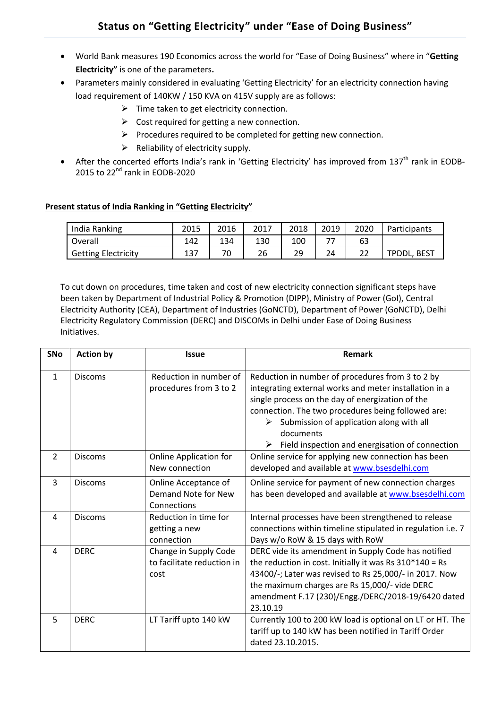- World Bank measures 190 Economics across the world for "Ease of Doing Business" where in "**Getting Electricity"** is one of the parameters**.**
- Parameters mainly considered in evaluating 'Getting Electricity' for an electricity connection having load requirement of 140KW / 150 KVA on 415V supply are as follows:
	- $\triangleright$  Time taken to get electricity connection.
	- $\triangleright$  Cost required for getting a new connection.
	- $\triangleright$  Procedures required to be completed for getting new connection.
	- $\triangleright$  Reliability of electricity supply.
- After the concerted efforts India's rank in 'Getting Electricity' has improved from 137<sup>th</sup> rank in EODB-2015 to 22<sup>nd</sup> rank in EODB-2020

## **Present status of India Ranking in "Getting Electricity"**

| India Ranking              | 2015 | 2016 | 2017 | 2018 | 2019 | 2020 | <b>Participants</b> |
|----------------------------|------|------|------|------|------|------|---------------------|
| Overall                    | 142  | 134  | 130  | 100  |      | 63   |                     |
| <b>Getting Electricity</b> | 137  | 70   | 26   | 29   | 24   | ີ    | <b>TPDDL, BEST</b>  |

To cut down on procedures, time taken and cost of new electricity connection significant steps have been taken by Department of Industrial Policy & Promotion (DIPP), Ministry of Power (GoI), Central Electricity Authority (CEA), Department of Industries (GoNCTD), Department of Power (GoNCTD), Delhi Electricity Regulatory Commission (DERC) and DISCOMs in Delhi under Ease of Doing Business Initiatives.

| <b>SNo</b>     | <b>Action by</b> | <b>Issue</b>                                                | <b>Remark</b>                                                                                                                                                                                                                                                                                                                              |
|----------------|------------------|-------------------------------------------------------------|--------------------------------------------------------------------------------------------------------------------------------------------------------------------------------------------------------------------------------------------------------------------------------------------------------------------------------------------|
| $\mathbf{1}$   | <b>Discoms</b>   | Reduction in number of<br>procedures from 3 to 2            | Reduction in number of procedures from 3 to 2 by<br>integrating external works and meter installation in a<br>single process on the day of energization of the<br>connection. The two procedures being followed are:<br>Submission of application along with all<br>➤<br>documents<br>Field inspection and energisation of connection<br>➤ |
| $\overline{2}$ | <b>Discoms</b>   | <b>Online Application for</b><br>New connection             | Online service for applying new connection has been<br>developed and available at www.bsesdelhi.com                                                                                                                                                                                                                                        |
| 3              | <b>Discoms</b>   | Online Acceptance of<br>Demand Note for New<br>Connections  | Online service for payment of new connection charges<br>has been developed and available at www.bsesdelhi.com                                                                                                                                                                                                                              |
| 4              | <b>Discoms</b>   | Reduction in time for<br>getting a new<br>connection        | Internal processes have been strengthened to release<br>connections within timeline stipulated in regulation i.e. 7<br>Days w/o RoW & 15 days with RoW                                                                                                                                                                                     |
| 4              | <b>DERC</b>      | Change in Supply Code<br>to facilitate reduction in<br>cost | DERC vide its amendment in Supply Code has notified<br>the reduction in cost. Initially it was Rs $310*140 =$ Rs<br>43400/-; Later was revised to Rs 25,000/- in 2017. Now<br>the maximum charges are Rs 15,000/- vide DERC<br>amendment F.17 (230)/Engg./DERC/2018-19/6420 dated<br>23.10.19                                              |
| 5              | <b>DERC</b>      | LT Tariff upto 140 kW                                       | Currently 100 to 200 kW load is optional on LT or HT. The<br>tariff up to 140 kW has been notified in Tariff Order<br>dated 23.10.2015.                                                                                                                                                                                                    |